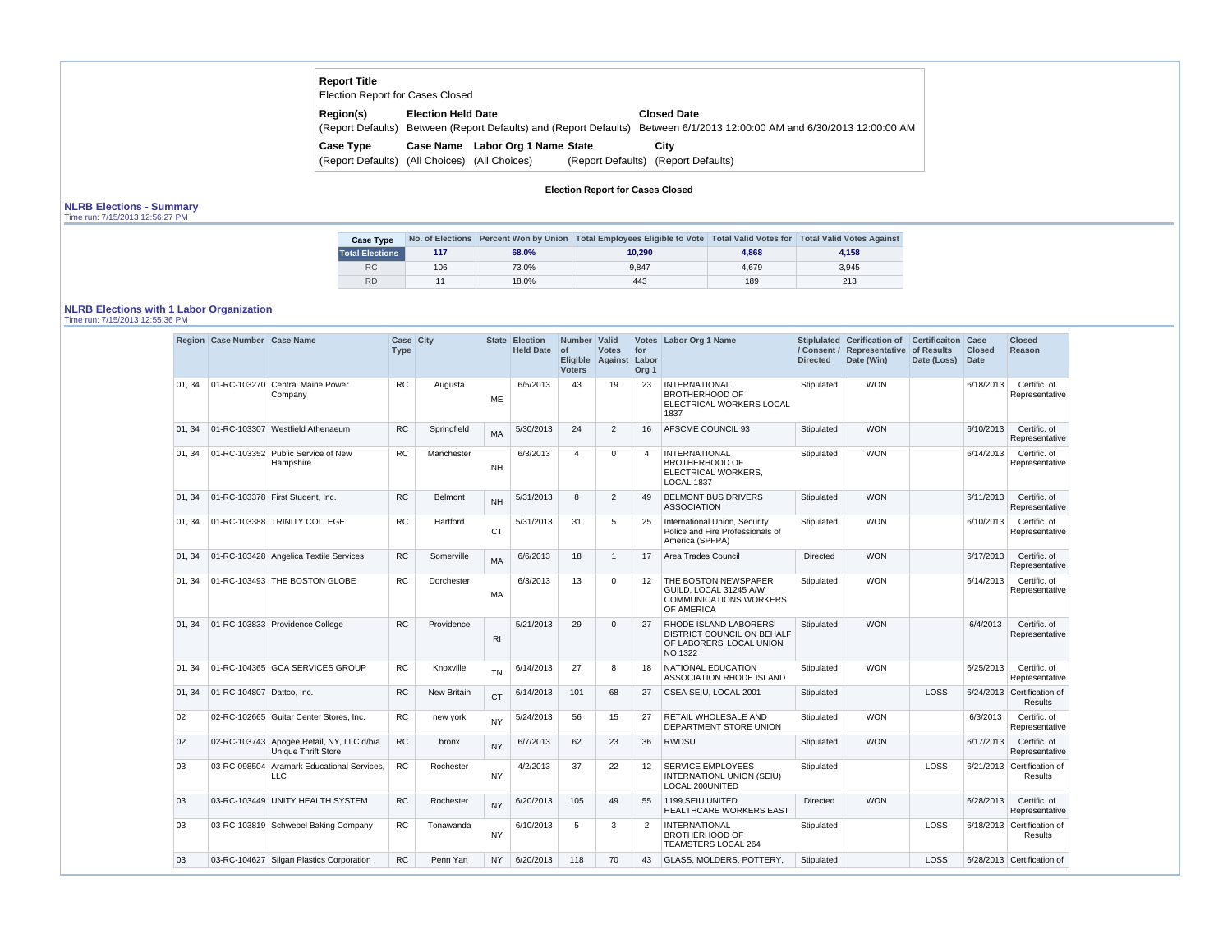| <b>Report Title</b> | <b>Election Report for Cases Closed</b>       |                                                                                                                          |
|---------------------|-----------------------------------------------|--------------------------------------------------------------------------------------------------------------------------|
| Region(s)           | <b>Election Held Date</b>                     | <b>Closed Date</b>                                                                                                       |
|                     |                                               | (Report Defaults) Between (Report Defaults) and (Report Defaults) Between 6/1/2013 12:00:00 AM and 6/30/2013 12:00:00 AM |
| <b>Case Type</b>    | Case Name Labor Org 1 Name State              | City                                                                                                                     |
|                     | (Report Defaults) (All Choices) (All Choices) | (Report Defaults) (Report Defaults)                                                                                      |

## **Election Report for Cases Closed**

# **NLRB Elections - Summary**

|  |  | Time run: 7/15/2013 12:56:27 PM |
|--|--|---------------------------------|
|--|--|---------------------------------|

| <b>Case Type</b>       |     |       | No. of Elections Percent Won by Union   Total Employees Eligible to Vote   Total Valid Votes for   Total Valid Votes Against |       |       |
|------------------------|-----|-------|------------------------------------------------------------------------------------------------------------------------------|-------|-------|
| <b>Total Elections</b> | 117 | 68.0% | 10.290                                                                                                                       | 4.868 | 4.158 |
| <b>RC</b>              | 106 | 73.0% | 9.847                                                                                                                        | 4.679 | 3.945 |
| <b>RD</b>              |     | 18.0% | 443                                                                                                                          | 189   | 213   |

#### **NLRB Elections with 1 Labor Organization**

Time run: 7/15/2013 12:55:36 PM

|        | Region Case Number Case Name |                                                                         | <b>Case City</b><br><b>Type</b> |                    |                | State Election<br><b>Held Date</b> | Number Valid<br>of<br><b>Voters</b> | <b>Votes</b><br>Eligible Against Labor | for<br>Org <sub>1</sub> | Votes Labor Org 1 Name                                                                                           | <b>Directed</b> | Stiplulated Cerification of Certificaiton Case<br>/ Consent / Representative<br>Date (Win) | of Results<br>Date (Loss) | <b>Closed</b><br>Date | <b>Closed</b><br>Reason                      |
|--------|------------------------------|-------------------------------------------------------------------------|---------------------------------|--------------------|----------------|------------------------------------|-------------------------------------|----------------------------------------|-------------------------|------------------------------------------------------------------------------------------------------------------|-----------------|--------------------------------------------------------------------------------------------|---------------------------|-----------------------|----------------------------------------------|
| 01, 34 |                              | 01-RC-103270 Central Maine Power<br>Company                             | <b>RC</b>                       | Augusta            | <b>ME</b>      | 6/5/2013                           | 43                                  | 19                                     | 23                      | <b>INTERNATIONAL</b><br><b>BROTHERHOOD OF</b><br>ELECTRICAL WORKERS LOCAL<br>1837                                | Stipulated      | <b>WON</b>                                                                                 |                           | 6/18/2013             | Certific. of<br>Representative               |
| 01, 34 |                              | 01-RC-103307 Westfield Athenaeum                                        | <b>RC</b>                       | Springfield        | <b>MA</b>      | 5/30/2013                          | 24                                  | $\overline{2}$                         | 16                      | AFSCME COUNCIL 93                                                                                                | Stipulated      | <b>WON</b>                                                                                 |                           | 6/10/2013             | Certific. of<br>Representative               |
| 01.34  |                              | 01-RC-103352 Public Service of New<br>Hampshire                         | <b>RC</b>                       | Manchester         | <b>NH</b>      | 6/3/2013                           | $\overline{4}$                      | $\mathbf 0$                            | $\overline{4}$          | <b>INTERNATIONAL</b><br><b>BROTHERHOOD OF</b><br>ELECTRICAL WORKERS,<br>LOCAL 1837                               | Stipulated      | <b>WON</b>                                                                                 |                           | 6/14/2013             | Certific. of<br>Representative               |
| 01, 34 |                              | 01-RC-103378 First Student, Inc.                                        | <b>RC</b>                       | <b>Belmont</b>     | <b>NH</b>      | 5/31/2013                          | 8                                   | $\overline{2}$                         | 49                      | <b>BELMONT BUS DRIVERS</b><br><b>ASSOCIATION</b>                                                                 | Stipulated      | <b>WON</b>                                                                                 |                           | 6/11/2013             | Certific. of<br>Representative               |
| 01, 34 |                              | 01-RC-103388 TRINITY COLLEGE                                            | <b>RC</b>                       | Hartford           | <b>CT</b>      | 5/31/2013                          | 31                                  | 5                                      | 25                      | International Union, Security<br>Police and Fire Professionals of<br>America (SPFPA)                             | Stipulated      | <b>WON</b>                                                                                 |                           | 6/10/2013             | Certific. of<br>Representative               |
| 01, 34 |                              | 01-RC-103428 Angelica Textile Services                                  | <b>RC</b>                       | Somerville         | <b>MA</b>      | 6/6/2013                           | 18                                  | $\overline{1}$                         | 17                      | Area Trades Council                                                                                              | <b>Directed</b> | <b>WON</b>                                                                                 |                           | 6/17/2013             | Certific. of<br>Representative               |
| 01, 34 |                              | 01-RC-103493 THE BOSTON GLOBE                                           | <b>RC</b>                       | Dorchester         | MA             | 6/3/2013                           | 13                                  | $\mathbf 0$                            | 12                      | THE BOSTON NEWSPAPER<br>GUILD. LOCAL 31245 A/W<br><b>COMMUNICATIONS WORKERS</b><br>OF AMERICA                    | Stipulated      | <b>WON</b>                                                                                 |                           | 6/14/2013             | Certific. of<br>Representative               |
| 01, 34 |                              | 01-RC-103833 Providence College                                         | <b>RC</b>                       | Providence         | R <sub>1</sub> | 5/21/2013                          | 29                                  | $\overline{0}$                         | 27                      | <b>RHODE ISLAND LABORERS'</b><br><b>DISTRICT COUNCIL ON BEHALF</b><br>OF LABORERS' LOCAL UNION<br><b>NO 1322</b> | Stipulated      | <b>WON</b>                                                                                 |                           | 6/4/2013              | Certific. of<br>Representative               |
| 01.34  |                              | 01-RC-104365 GCA SERVICES GROUP                                         | <b>RC</b>                       | Knoxville          | <b>TN</b>      | 6/14/2013                          | 27                                  | 8                                      | 18                      | NATIONAL EDUCATION<br>ASSOCIATION RHODE ISLAND                                                                   | Stipulated      | <b>WON</b>                                                                                 |                           | 6/25/2013             | Certific. of<br>Representative               |
| 01, 34 | 01-RC-104807 Dattco, Inc.    |                                                                         | <b>RC</b>                       | <b>New Britain</b> | <b>CT</b>      | 6/14/2013                          | 101                                 | 68                                     | 27                      | CSEA SEIU, LOCAL 2001                                                                                            | Stipulated      |                                                                                            | <b>LOSS</b>               |                       | 6/24/2013 Certification of<br><b>Results</b> |
| 02     |                              | 02-RC-102665 Guitar Center Stores, Inc.                                 | <b>RC</b>                       | new york           | <b>NY</b>      | 5/24/2013                          | 56                                  | 15                                     | 27                      | RETAIL WHOLESALE AND<br>DEPARTMENT STORE UNION                                                                   | Stipulated      | <b>WON</b>                                                                                 |                           | 6/3/2013              | Certific. of<br>Representative               |
| 02     |                              | 02-RC-103743 Apogee Retail, NY, LLC d/b/a<br><b>Unique Thrift Store</b> | <b>RC</b>                       | bronx              | <b>NY</b>      | 6/7/2013                           | 62                                  | 23                                     | 36                      | RWDSU                                                                                                            | Stipulated      | <b>WON</b>                                                                                 |                           | 6/17/2013             | Certific. of<br>Representative               |
| 03     |                              | 03-RC-098504 Aramark Educational Services,<br>LLC                       | <b>RC</b>                       | Rochester          | <b>NY</b>      | 4/2/2013                           | 37                                  | 22                                     | 12                      | <b>SERVICE EMPLOYEES</b><br>INTERNATIONL UNION (SEIU)<br>LOCAL 200UNITED                                         | Stipulated      |                                                                                            | LOSS                      |                       | 6/21/2013 Certification of<br>Results        |
| 03     |                              | 03-RC-103449 UNITY HEALTH SYSTEM                                        | <b>RC</b>                       | Rochester          | <b>NY</b>      | 6/20/2013                          | 105                                 | 49                                     | 55                      | 1199 SEIU UNITED<br><b>HEALTHCARE WORKERS EAST</b>                                                               | Directed        | <b>WON</b>                                                                                 |                           | 6/28/2013             | Certific. of<br>Representative               |
| 03     |                              | 03-RC-103819 Schwebel Baking Company                                    | <b>RC</b>                       | Tonawanda          | <b>NY</b>      | 6/10/2013                          | 5                                   | 3                                      | $\overline{2}$          | <b>INTERNATIONAL</b><br><b>BROTHERHOOD OF</b><br><b>TEAMSTERS LOCAL 264</b>                                      | Stipulated      |                                                                                            | LOSS                      |                       | 6/18/2013 Certification of<br>Results        |
| 03     |                              | 03-RC-104627 Silgan Plastics Corporation                                | <b>RC</b>                       | Penn Yan           | NY.            | 6/20/2013                          | 118                                 | 70                                     | 43                      | GLASS, MOLDERS, POTTERY,                                                                                         | Stipulated      |                                                                                            | <b>LOSS</b>               |                       | 6/28/2013 Certification of                   |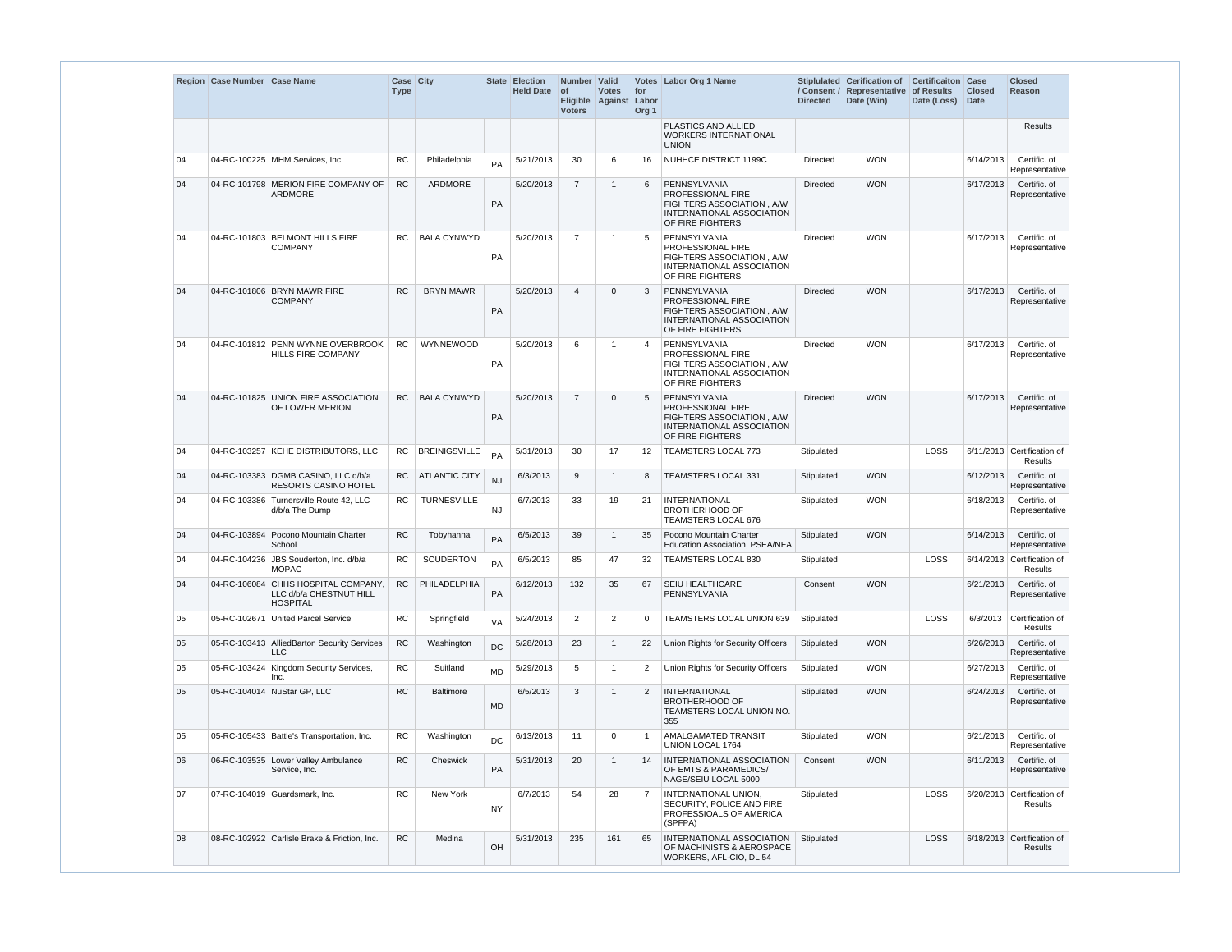|    | Region Case Number Case Name |                                                                      | Case City<br><b>Type</b> |                      |           | State Election<br>Held Date of | Number Valid<br><b>Voters</b> | <b>Votes</b><br>Eligible Against Labor | for<br>Org <sub>1</sub> | Votes Labor Org 1 Name                                                                                          | <b>Directed</b> | Stiplulated Cerification of<br>/ Consent / Representative of Results<br>Date (Win) | <b>Certificaiton Case</b><br>Date (Loss) | <b>Closed</b><br><b>Date</b> | <b>Closed</b><br>Reason                    |
|----|------------------------------|----------------------------------------------------------------------|--------------------------|----------------------|-----------|--------------------------------|-------------------------------|----------------------------------------|-------------------------|-----------------------------------------------------------------------------------------------------------------|-----------------|------------------------------------------------------------------------------------|------------------------------------------|------------------------------|--------------------------------------------|
|    |                              |                                                                      |                          |                      |           |                                |                               |                                        |                         | PLASTICS AND ALLIED<br><b>WORKERS INTERNATIONAL</b><br><b>UNION</b>                                             |                 |                                                                                    |                                          |                              | Results                                    |
| 04 |                              | 04-RC-100225 MHM Services, Inc.                                      | <b>RC</b>                | Philadelphia         | PA        | 5/21/2013                      | 30                            | 6                                      | 16                      | NUHHCE DISTRICT 1199C                                                                                           | <b>Directed</b> | <b>WON</b>                                                                         |                                          | 6/14/2013                    | Certific. of<br>Representative             |
| 04 |                              | 04-RC-101798 MERION FIRE COMPANY OF<br><b>ARDMORE</b>                | <b>RC</b>                | ARDMORE              | <b>PA</b> | 5/20/2013                      | $\overline{7}$                | -1                                     | 6                       | PENNSYLVANIA<br>PROFESSIONAL FIRE<br>FIGHTERS ASSOCIATION, A/W<br>INTERNATIONAL ASSOCIATION<br>OF FIRE FIGHTERS | <b>Directed</b> | <b>WON</b>                                                                         |                                          | 6/17/2013                    | Certific. of<br>Representative             |
| 04 |                              | 04-RC-101803 BELMONT HILLS FIRE<br><b>COMPANY</b>                    | RC.                      | <b>BALA CYNWYD</b>   | PA        | 5/20/2013                      | $\overline{7}$                | $\overline{\mathbf{1}}$                | -5                      | PENNSYLVANIA<br>PROFESSIONAL FIRE<br>FIGHTERS ASSOCIATION, A/W<br>INTERNATIONAL ASSOCIATION<br>OF FIRE FIGHTERS | <b>Directed</b> | <b>WON</b>                                                                         |                                          | 6/17/2013                    | Certific, of<br>Representative             |
| 04 |                              | 04-RC-101806 BRYN MAWR FIRE<br><b>COMPANY</b>                        | <b>RC</b>                | <b>BRYN MAWR</b>     | <b>PA</b> | 5/20/2013                      | $\overline{4}$                | $\overline{0}$                         | 3                       | PENNSYLVANIA<br>PROFESSIONAL FIRE<br>FIGHTERS ASSOCIATION, A/W<br>INTERNATIONAL ASSOCIATION<br>OF FIRE FIGHTERS | <b>Directed</b> | <b>WON</b>                                                                         |                                          | 6/17/2013                    | Certific. of<br>Representative             |
| 04 |                              | 04-RC-101812 PENN WYNNE OVERBROOK<br><b>HILLS FIRE COMPANY</b>       | <b>RC</b>                | <b>WYNNEWOOD</b>     | PA        | 5/20/2013                      | 6                             | -1                                     | $\overline{4}$          | PENNSYLVANIA<br>PROFESSIONAL FIRE<br>FIGHTERS ASSOCIATION, A/W<br>INTERNATIONAL ASSOCIATION<br>OF FIRE FIGHTERS | <b>Directed</b> | <b>WON</b>                                                                         |                                          | 6/17/2013                    | Certific. of<br>Representative             |
| 04 |                              | 04-RC-101825 UNION FIRE ASSOCIATION<br>OF LOWER MERION               | RC                       | <b>BALA CYNWYD</b>   | PA        | 5/20/2013                      | $\overline{7}$                | $\mathbf{0}$                           | 5                       | PENNSYLVANIA<br>PROFESSIONAL FIRE<br>FIGHTERS ASSOCIATION, A/W<br>INTERNATIONAL ASSOCIATION<br>OF FIRE FIGHTERS | <b>Directed</b> | <b>WON</b>                                                                         |                                          | 6/17/2013                    | Certific. of<br>Representative             |
| 04 |                              | 04-RC-103257 KEHE DISTRIBUTORS, LLC                                  | <b>RC</b>                | <b>BREINIGSVILLE</b> | PA        | 5/31/2013                      | 30                            | 17                                     | 12                      | <b>TEAMSTERS LOCAL 773</b>                                                                                      | Stipulated      |                                                                                    | <b>LOSS</b>                              |                              | 6/11/2013 Certification of<br>Results      |
| 04 |                              | 04-RC-103383 DGMB CASINO, LLC d/b/a<br><b>RESORTS CASINO HOTEL</b>   | <b>RC</b>                | <b>ATLANTIC CITY</b> | NJ        | 6/3/2013                       | 9                             | $\overline{1}$                         | 8                       | TEAMSTERS LOCAL 331                                                                                             | Stipulated      | <b>WON</b>                                                                         |                                          | 6/12/2013                    | Certific. of<br>Representative             |
| 04 | 04-RC-103386                 | Turnersville Route 42, LLC<br>d/b/a The Dump                         | RC.                      | <b>TURNESVILLE</b>   | <b>NJ</b> | 6/7/2013                       | 33                            | 19                                     | 21                      | <b>INTERNATIONAL</b><br><b>BROTHERHOOD OF</b><br><b>TEAMSTERS LOCAL 676</b>                                     | Stipulated      | <b>WON</b>                                                                         |                                          | 6/18/2013                    | Certific. of<br>Representative             |
| 04 |                              | 04-RC-103894 Pocono Mountain Charter<br>School                       | RC                       | Tobyhanna            | PA        | 6/5/2013                       |                               |                                        |                         | 39 1 35 Pocono Mountain Charter<br>Education Association, PSEA/NEA                                              |                 | Stipulated WON                                                                     |                                          |                              | $6/14/2013$ Certific. of<br>Representative |
| 04 |                              | 04-RC-104236 JBS Souderton, Inc. d/b/a<br><b>MOPAC</b>               | RC                       | SOUDERTON            | PA        | 6/5/2013                       | 85                            | 47                                     | 32                      | TEAMSTERS LOCAL 830                                                                                             | Stipulated      |                                                                                    | <b>LOSS</b>                              |                              | 6/14/2013 Certification of<br>Results      |
| 04 | 04-RC-106084                 | CHHS HOSPITAL COMPANY,<br>LLC d/b/a CHESTNUT HILL<br><b>HOSPITAL</b> | RC                       | PHILADELPHIA         | PA        | 6/12/2013                      | 132                           | 35                                     | 67                      | SEIU HEALTHCARE<br>PENNSYLVANIA                                                                                 | Consent         | <b>WON</b>                                                                         |                                          | 6/21/2013                    | Certific. of<br>Representative             |
| 05 |                              | 05-RC-102671 United Parcel Service                                   | <b>RC</b>                | Springfield          | VA        | 5/24/2013                      | 2                             | 2                                      | $\mathbf 0$             | TEAMSTERS LOCAL UNION 639                                                                                       | Stipulated      |                                                                                    | <b>LOSS</b>                              |                              | 6/3/2013 Certification of<br>Results       |
| 05 |                              | 05-RC-103413 AlliedBarton Security Services<br>LLC                   | <b>RC</b>                | Washington           | <b>DC</b> | 5/28/2013                      | 23                            | -1                                     | 22                      | Union Rights for Security Officers                                                                              | Stipulated      | <b>WON</b>                                                                         |                                          | 6/26/2013                    | Certific. of<br>Representative             |
| 05 | 05-RC-103424                 | Kingdom Security Services,<br>Inc.                                   | <b>RC</b>                | Suitland             | <b>MD</b> | 5/29/2013                      | 5                             | $\overline{1}$                         | $\overline{2}$          | Union Rights for Security Officers                                                                              | Stipulated      | <b>WON</b>                                                                         |                                          | 6/27/2013                    | Certific. of<br>Representative             |
| 05 |                              | 05-RC-104014 NuStar GP, LLC                                          | <b>RC</b>                | <b>Baltimore</b>     | <b>MD</b> | 6/5/2013                       | 3                             |                                        | 2                       | <b>INTERNATIONAL</b><br><b>BROTHERHOOD OF</b><br>TEAMSTERS LOCAL UNION NO.<br>355                               | Stipulated      | <b>WON</b>                                                                         |                                          | 6/24/2013                    | Certific. of<br>Representative             |
| 05 |                              | 05-RC-105433 Battle's Transportation, Inc.                           | <b>RC</b>                | Washington           | <b>DC</b> | 6/13/2013                      | 11                            | $\mathbf 0$                            | -1                      | AMALGAMATED TRANSIT<br>UNION LOCAL 1764                                                                         | Stipulated      | <b>WON</b>                                                                         |                                          | 6/21/2013                    | Certific. of<br>Representative             |
| 06 |                              | 06-RC-103535 Lower Valley Ambulance<br>Service, Inc.                 | RC                       | Cheswick             | PA        | 5/31/2013                      | 20                            |                                        | 14                      | INTERNATIONAL ASSOCIATION<br>OF EMTS & PARAMEDICS/<br>NAGE/SEIU LOCAL 5000                                      | Consent         | <b>WON</b>                                                                         |                                          | 6/11/2013                    | Certific. of<br>Representative             |
| 07 |                              | 07-RC-104019 Guardsmark, Inc.                                        | <b>RC</b>                | New York             | <b>NY</b> | 6/7/2013                       | 54                            | 28                                     | 7                       | INTERNATIONAL UNION,<br>SECURITY, POLICE AND FIRE<br>PROFESSIOALS OF AMERICA<br>(SPFPA)                         | Stipulated      |                                                                                    | <b>LOSS</b>                              |                              | 6/20/2013 Certification of<br>Results      |
| 08 |                              | 08-RC-102922 Carlisle Brake & Friction, Inc.                         | <b>RC</b>                | Medina               | OH        | 5/31/2013                      | 235                           | 161                                    | 65                      | INTERNATIONAL ASSOCIATION<br>OF MACHINISTS & AEROSPACE<br>WORKERS, AFL-CIO, DL 54                               | Stipulated      |                                                                                    | <b>LOSS</b>                              |                              | 6/18/2013 Certification of<br>Results      |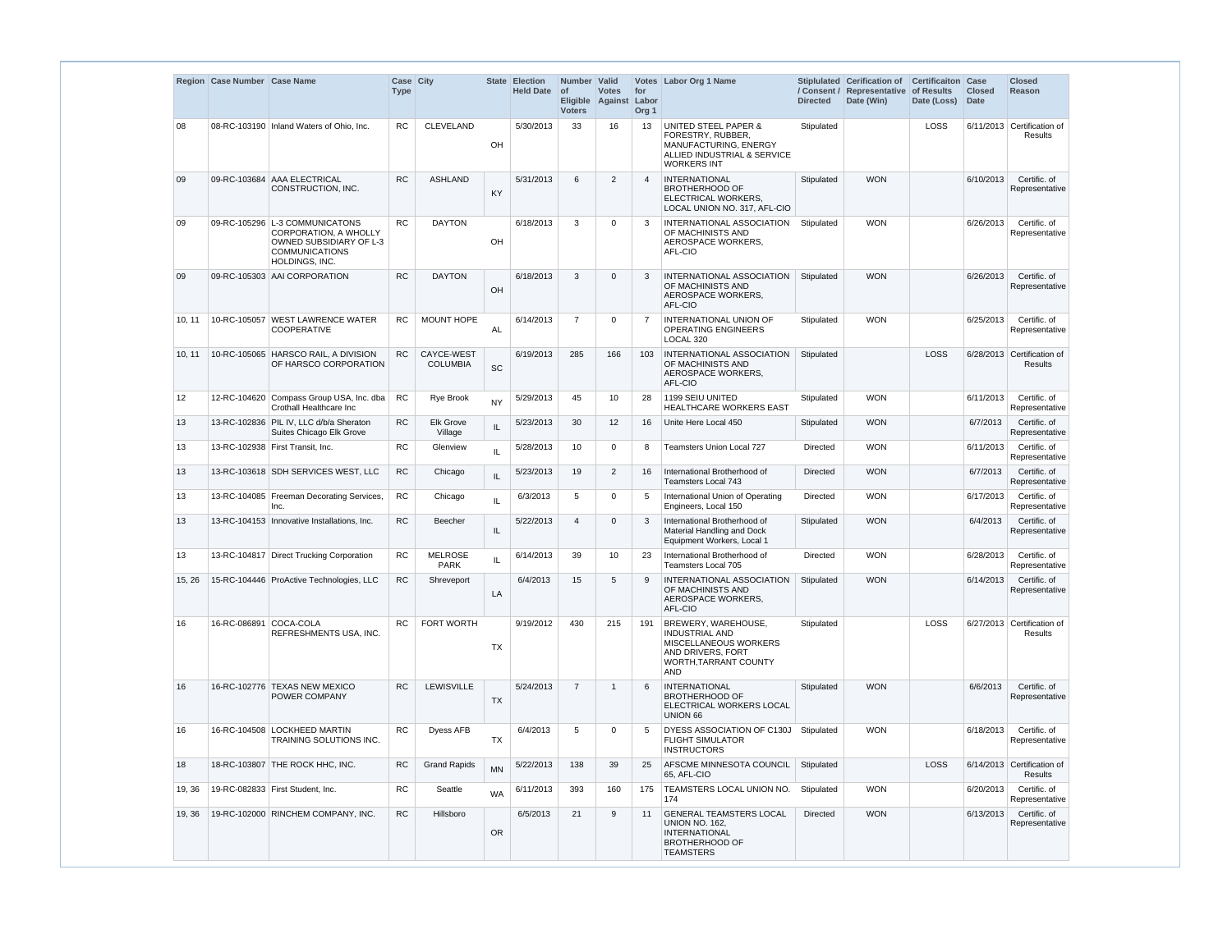|        | Region Case Number Case Name |                                                                                                                                      | Case City<br><b>Type</b> |                               |                                   | State Election<br><b>Held Date</b> | Number Valid<br><b>of</b><br><b>Voters</b> | <b>Votes</b><br>Eligible Against Labor | for<br>Org <sub>1</sub> | Votes Labor Org 1 Name                                                                                                                   | <b>Directed</b> | Stiplulated Cerification of<br>/ Consent / Representative of Results<br>Date (Win) | <b>Certificaiton</b><br>Date (Loss) | Case<br><b>Closed</b><br><b>Date</b> | <b>Closed</b><br>Reason               |
|--------|------------------------------|--------------------------------------------------------------------------------------------------------------------------------------|--------------------------|-------------------------------|-----------------------------------|------------------------------------|--------------------------------------------|----------------------------------------|-------------------------|------------------------------------------------------------------------------------------------------------------------------------------|-----------------|------------------------------------------------------------------------------------|-------------------------------------|--------------------------------------|---------------------------------------|
| 08     |                              | 08-RC-103190 Inland Waters of Ohio, Inc.                                                                                             | <b>RC</b>                | <b>CLEVELAND</b>              | OH                                | 5/30/2013                          | 33                                         | 16                                     | 13                      | <b>UNITED STEEL PAPER &amp;</b><br>FORESTRY, RUBBER,<br>MANUFACTURING, ENERGY<br>ALLIED INDUSTRIAL & SERVICE<br><b>WORKERS INT</b>       | Stipulated      |                                                                                    | LOSS                                |                                      | 6/11/2013 Certification of<br>Results |
| 09     |                              | 09-RC-103684 AAA ELECTRICAL<br>CONSTRUCTION, INC.                                                                                    | <b>RC</b>                | <b>ASHLAND</b>                | KY                                | 5/31/2013                          | 6                                          | $\overline{2}$                         | $\overline{4}$          | INTERNATIONAL<br><b>BROTHERHOOD OF</b><br>ELECTRICAL WORKERS.<br>LOCAL UNION NO. 317, AFL-CIO                                            | Stipulated      | <b>WON</b>                                                                         |                                     | 6/10/2013                            | Certific. of<br>Representative        |
| 09     |                              | 09-RC-105296 L-3 COMMUNICATONS<br><b>CORPORATION, A WHOLLY</b><br>OWNED SUBSIDIARY OF L-3<br><b>COMMUNICATIONS</b><br>HOLDINGS, INC. | <b>RC</b>                | <b>DAYTON</b>                 | OH                                | 6/18/2013                          | 3                                          | 0                                      | 3                       | INTERNATIONAL ASSOCIATION<br>OF MACHINISTS AND<br>AEROSPACE WORKERS.<br>AFL-CIO                                                          | Stipulated      | <b>WON</b>                                                                         |                                     | 6/26/2013                            | Certific. of<br>Representative        |
| 09     |                              | 09-RC-105303 AAI CORPORATION                                                                                                         | <b>RC</b>                | <b>DAYTON</b>                 | OH                                | 6/18/2013                          | 3                                          | $\mathbf{0}$                           | 3                       | <b>INTERNATIONAL ASSOCIATION</b><br>OF MACHINISTS AND<br>AEROSPACE WORKERS,<br>AFL-CIO                                                   | Stipulated      | <b>WON</b>                                                                         |                                     | 6/26/2013                            | Certific. of<br>Representative        |
| 10, 11 |                              | 10-RC-105057 WEST LAWRENCE WATER<br>COOPERATIVE                                                                                      | <b>RC</b>                | <b>MOUNT HOPE</b>             | AL                                | 6/14/2013                          | $\overline{7}$                             | $\mathbf 0$                            | 7                       | <b>INTERNATIONAL UNION OF</b><br><b>OPERATING ENGINEERS</b><br>LOCAL 320                                                                 | Stipulated      | <b>WON</b>                                                                         |                                     | 6/25/2013                            | Certific. of<br>Representative        |
| 10, 11 |                              | 10-RC-105065 HARSCO RAIL, A DIVISION<br>OF HARSCO CORPORATION                                                                        | <b>RC</b>                | CAYCE-WEST<br><b>COLUMBIA</b> | <b>SC</b>                         | 6/19/2013                          | 285                                        | 166                                    | 103                     | INTERNATIONAL ASSOCIATION<br>OF MACHINISTS AND<br>AEROSPACE WORKERS,<br>AFL-CIO                                                          | Stipulated      |                                                                                    | LOSS                                |                                      | 6/28/2013 Certification of<br>Results |
| 12     |                              | 12-RC-104620 Compass Group USA, Inc. dba<br>Crothall Healthcare Inc                                                                  | <b>RC</b>                | <b>Rye Brook</b>              | <b>NY</b>                         | 5/29/2013                          | 45                                         | 10                                     | 28                      | 1199 SEIU UNITED<br><b>HEALTHCARE WORKERS EAST</b>                                                                                       | Stipulated      | <b>WON</b>                                                                         |                                     | 6/11/2013                            | Certific. of<br>Representative        |
| 13     |                              | 13-RC-102836 PIL IV, LLC d/b/a Sheraton<br>Suites Chicago Elk Grove                                                                  | <b>RC</b>                | Elk Grove<br>Village          | IL                                | 5/23/2013                          | 30                                         | 12                                     | 16                      | Unite Here Local 450                                                                                                                     | Stipulated      | <b>WON</b>                                                                         |                                     | 6/7/2013                             | Certific. of<br>Representative        |
| 13     |                              | 13-RC-102938 First Transit, Inc.                                                                                                     | <b>RC</b>                | Glenview                      | IL                                | 5/28/2013                          | 10                                         | 0                                      | 8                       | <b>Teamsters Union Local 727</b>                                                                                                         | Directed        | <b>WON</b>                                                                         |                                     | 6/11/2013                            | Certific. of<br>Representative        |
| 13     |                              | 13-RC-103618 SDH SERVICES WEST, LLC                                                                                                  | RC                       | Chicago                       | $\ensuremath{\mathsf{IL}}\xspace$ | 5/23/2013                          | 19                                         | $\overline{2}$                         | 16                      | International Brotherhood of<br>Teamsters Local 743                                                                                      | Directed        | <b>WON</b>                                                                         |                                     | 6/7/2013                             | Certific. of<br>Representative        |
| 13     |                              | 13-RC-104085 Freeman Decorating Services,<br>Inc.                                                                                    | <b>RC</b>                | Chicago                       | IL                                | 6/3/2013                           | 5                                          | $\mathbf{0}$                           | 5                       | International Union of Operating<br>Engineers, Local 150                                                                                 | Directed        | <b>WON</b>                                                                         |                                     | 6/17/2013                            | Certific. of<br>Representative        |
| 13     |                              | 13-RC-104153   Innovative Installations, Inc.                                                                                        | <b>RC</b>                | <b>Beecher</b>                | $\mathsf{IL}$                     | 5/22/2013                          | 4                                          | 0                                      | 3                       | International Brotherhood of<br>Material Handling and Dock<br>Equipment Workers, Local 1                                                 | Stipulated      | <b>WON</b>                                                                         |                                     | 6/4/2013                             | Certific. of<br>Representative        |
| 13     |                              | 13-RC-104817 Direct Trucking Corporation                                                                                             | <b>RC</b>                | <b>MELROSE</b><br><b>PARK</b> | IL                                | 6/14/2013                          | 39                                         | 10                                     | 23                      | International Brotherhood of<br>Teamsters Local 705                                                                                      | Directed        | <b>WON</b>                                                                         |                                     | 6/28/2013                            | Certific. of<br>Representative        |
| 15, 26 |                              | 15-RC-104446 ProActive Technologies, LLC                                                                                             | <b>RC</b>                | Shreveport                    | LA                                | 6/4/2013                           | 15                                         | 5                                      | 9                       | INTERNATIONAL ASSOCIATION<br>OF MACHINISTS AND<br>AEROSPACE WORKERS,<br>AFL-CIO                                                          | Stipulated      | <b>WON</b>                                                                         |                                     | 6/14/2013                            | Certific. of<br>Representative        |
| 16     | 16-RC-086891 COCA-COLA       | <b>REFRESHMENTS USA. INC.</b>                                                                                                        | RC.                      | <b>FORT WORTH</b>             | TX                                | 9/19/2012                          | 430                                        | 215                                    | 191                     | <b>BREWERY, WAREHOUSE,</b><br><b>INDUSTRIAL AND</b><br><b>MISCELLANEOUS WORKERS</b><br>AND DRIVERS, FORT<br>WORTH, TARRANT COUNTY<br>AND | Stipulated      |                                                                                    | LOSS                                |                                      | 6/27/2013 Certification of<br>Results |
| 16     |                              | 16-RC-102776 TEXAS NEW MEXICO<br>POWER COMPANY                                                                                       | <b>RC</b>                | <b>LEWISVILLE</b>             | <b>TX</b>                         | 5/24/2013                          | $\overline{7}$                             |                                        | 6                       | INTERNATIONAL<br><b>BROTHERHOOD OF</b><br>ELECTRICAL WORKERS LOCAL<br><b>UNION 66</b>                                                    | Stipulated      | <b>WON</b>                                                                         |                                     | 6/6/2013                             | Certific. of<br>Representative        |
| 16     |                              | 16-RC-104508 LOCKHEED MARTIN<br>TRAINING SOLUTIONS INC.                                                                              | <b>RC</b>                | Dyess AFB                     | <b>TX</b>                         | 6/4/2013                           | 5                                          | $\mathbf 0$                            | 5                       | <b>DYESS ASSOCIATION OF C130J</b><br><b>FLIGHT SIMULATOR</b><br><b>INSTRUCTORS</b>                                                       | Stipulated      | <b>WON</b>                                                                         |                                     | 6/18/2013                            | Certific. of<br>Representative        |
| 18     |                              | 18-RC-103807 THE ROCK HHC, INC.                                                                                                      | <b>RC</b>                | <b>Grand Rapids</b>           | <b>MN</b>                         | 5/22/2013                          | 138                                        | 39                                     | 25                      | AFSCME MINNESOTA COUNCIL<br>65, AFL-CIO                                                                                                  | Stipulated      |                                                                                    | LOSS                                |                                      | 6/14/2013 Certification of<br>Results |
| 19, 36 |                              | 19-RC-082833 First Student, Inc.                                                                                                     | <b>RC</b>                | Seattle                       | <b>WA</b>                         | 6/11/2013                          | 393                                        | 160                                    | 175                     | <b>TEAMSTERS LOCAL UNION NO.</b><br>174                                                                                                  | Stipulated      | <b>WON</b>                                                                         |                                     | 6/20/2013                            | Certific. of<br>Representative        |
| 19, 36 |                              | 19-RC-102000 RINCHEM COMPANY, INC.                                                                                                   | <b>RC</b>                | Hillsboro                     | <b>OR</b>                         | 6/5/2013                           | 21                                         | 9                                      | 11                      | <b>GENERAL TEAMSTERS LOCAL</b><br><b>UNION NO. 162.</b><br><b>INTERNATIONAL</b><br><b>BROTHERHOOD OF</b><br><b>TEAMSTERS</b>             | <b>Directed</b> | <b>WON</b>                                                                         |                                     | 6/13/2013                            | Certific. of<br>Representative        |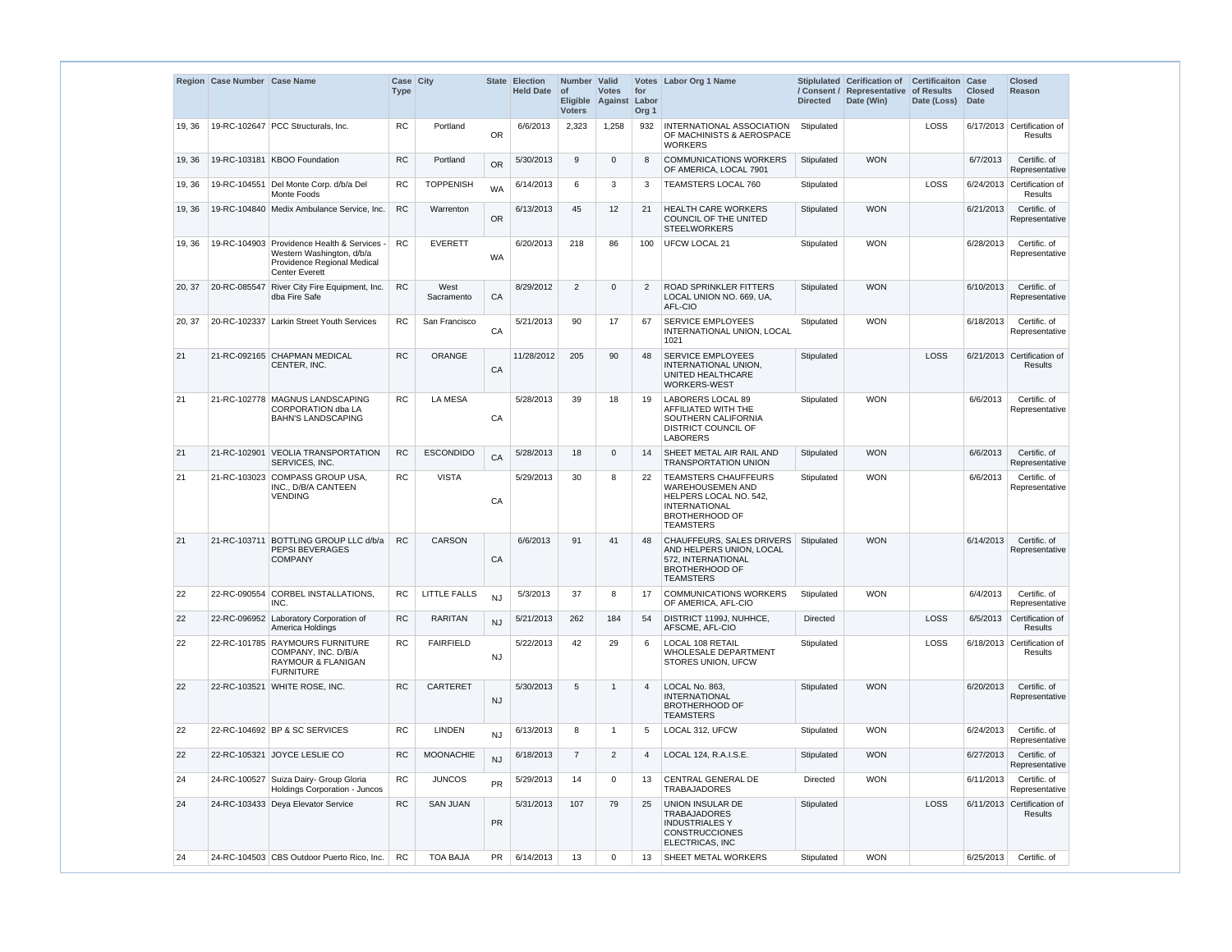|        | Region Case Number Case Name |                                                                                                                                  | Case City<br><b>Type</b> |                     |           | State Election<br><b>Held Date</b> | Number Valid<br><b>of</b><br><b>Voters</b> | <b>Votes</b><br>Eligible Against Labor | for<br>Org <sub>1</sub> | Votes Labor Org 1 Name                                                                                                                         | <b>Directed</b> | Stiplulated Cerification of<br>/ Consent / Representative of Results<br>Date (Win) | <b>Certificaiton Case</b><br>Date (Loss) | <b>Closed</b><br>Date | <b>Closed</b><br>Reason                      |
|--------|------------------------------|----------------------------------------------------------------------------------------------------------------------------------|--------------------------|---------------------|-----------|------------------------------------|--------------------------------------------|----------------------------------------|-------------------------|------------------------------------------------------------------------------------------------------------------------------------------------|-----------------|------------------------------------------------------------------------------------|------------------------------------------|-----------------------|----------------------------------------------|
| 19, 36 |                              | 19-RC-102647 PCC Structurals, Inc.                                                                                               | <b>RC</b>                | Portland            | <b>OR</b> | 6/6/2013                           | 2,323                                      | 1,258                                  | 932                     | INTERNATIONAL ASSOCIATION<br>OF MACHINISTS & AEROSPACE<br><b>WORKERS</b>                                                                       | Stipulated      |                                                                                    | LOSS                                     |                       | 6/17/2013 Certification of<br><b>Results</b> |
| 19, 36 |                              | 19-RC-103181 KBOO Foundation                                                                                                     | <b>RC</b>                | Portland            | <b>OR</b> | 5/30/2013                          | 9                                          | $\Omega$                               | 8                       | <b>COMMUNICATIONS WORKERS</b><br>OF AMERICA, LOCAL 7901                                                                                        | Stipulated      | <b>WON</b>                                                                         |                                          | 6/7/2013              | Certific. of<br>Representative               |
| 19, 36 |                              | 19-RC-104551 Del Monte Corp. d/b/a Del<br>Monte Foods                                                                            | <b>RC</b>                | <b>TOPPENISH</b>    | <b>WA</b> | 6/14/2013                          | 6                                          | 3                                      | 3                       | <b>TEAMSTERS LOCAL 760</b>                                                                                                                     | Stipulated      |                                                                                    | LOSS                                     |                       | 6/24/2013 Certification of<br>Results        |
| 19, 36 |                              | 19-RC-104840 Medix Ambulance Service, Inc.                                                                                       | <b>RC</b>                | Warrenton           | <b>OR</b> | 6/13/2013                          | 45                                         | 12                                     | 21                      | <b>HEALTH CARE WORKERS</b><br>COUNCIL OF THE UNITED<br><b>STEELWORKERS</b>                                                                     | Stipulated      | <b>WON</b>                                                                         |                                          | 6/21/2013             | Certific. of<br>Representative               |
| 19, 36 |                              | 19-RC-104903 Providence Health & Services -<br>Western Washington, d/b/a<br>Providence Regional Medical<br><b>Center Everett</b> | <b>RC</b>                | <b>EVERETT</b>      | <b>WA</b> | 6/20/2013                          | 218                                        | 86                                     | 100                     | <b>UFCW LOCAL 21</b>                                                                                                                           | Stipulated      | <b>WON</b>                                                                         |                                          | 6/28/2013             | Certific. of<br>Representative               |
| 20, 37 | 20-RC-085547                 | River City Fire Equipment, Inc.<br>dba Fire Safe                                                                                 | RC                       | West<br>Sacramento  | CA        | 8/29/2012                          | $\overline{2}$                             | $\Omega$                               | $\overline{2}$          | <b>ROAD SPRINKLER FITTERS</b><br>LOCAL UNION NO. 669, UA,<br>AFL-CIO                                                                           | Stipulated      | <b>WON</b>                                                                         |                                          | 6/10/2013             | Certific. of<br>Representative               |
| 20, 37 |                              | 20-RC-102337 Larkin Street Youth Services                                                                                        | <b>RC</b>                | San Francisco       | CA        | 5/21/2013                          | 90                                         | 17                                     | 67                      | <b>SERVICE EMPLOYEES</b><br>INTERNATIONAL UNION, LOCAL<br>1021                                                                                 | Stipulated      | <b>WON</b>                                                                         |                                          | 6/18/2013             | Certific. of<br>Representative               |
| 21     |                              | 21-RC-092165 CHAPMAN MEDICAL<br>CENTER, INC.                                                                                     | <b>RC</b>                | <b>ORANGE</b>       | CA        | 11/28/2012                         | 205                                        | 90                                     | 48                      | <b>SERVICE EMPLOYEES</b><br>INTERNATIONAL UNION.<br>UNITED HEALTHCARE<br>WORKERS-WEST                                                          | Stipulated      |                                                                                    | LOSS                                     |                       | 6/21/2013 Certification of<br>Results        |
| 21     |                              | 21-RC-102778 MAGNUS LANDSCAPING<br><b>CORPORATION dba LA</b><br><b>BAHN'S LANDSCAPING</b>                                        | <b>RC</b>                | <b>LA MESA</b>      | CA        | 5/28/2013                          | 39                                         | 18                                     | 19                      | LABORERS LOCAL 89<br>AFFILIATED WITH THE<br>SOUTHERN CALIFORNIA<br><b>DISTRICT COUNCIL OF</b><br><b>LABORERS</b>                               | Stipulated      | <b>WON</b>                                                                         |                                          | 6/6/2013              | Certific. of<br>Representative               |
| 21     | 21-RC-102901                 | <b>VEOLIA TRANSPORTATION</b><br>SERVICES, INC.                                                                                   | <b>RC</b>                | <b>ESCONDIDO</b>    | CA        | 5/28/2013                          | 18                                         | $\mathbf{0}$                           | 14                      | SHEET METAL AIR RAIL AND<br><b>TRANSPORTATION UNION</b>                                                                                        | Stipulated      | <b>WON</b>                                                                         |                                          | 6/6/2013              | Certific, of<br>Representative               |
| 21     |                              | 21-RC-103023 COMPASS GROUP USA,<br>INC., D/B/A CANTEEN<br><b>VENDING</b>                                                         | <b>RC</b>                | <b>VISTA</b>        | CA        | 5/29/2013                          | 30                                         | 8                                      | 22                      | <b>TEAMSTERS CHAUFFEURS</b><br><b>WAREHOUSEMEN AND</b><br>HELPERS LOCAL NO. 542,<br>INTERNATIONAL<br><b>BROTHERHOOD OF</b><br><b>TEAMSTERS</b> | Stipulated      | <b>WON</b>                                                                         |                                          | 6/6/2013              | Certific, of<br>Representative               |
| 21     | 21-RC-103711                 | <b>BOTTLING GROUP LLC d/b/a</b><br>PEPSI BEVERAGES<br><b>COMPANY</b>                                                             | <b>RC</b>                | CARSON              | CA        | 6/6/2013                           | 91                                         | 41                                     | 48                      | CHAUFFEURS, SALES DRIVERS<br>AND HELPERS UNION, LOCAL<br>572, INTERNATIONAL<br><b>BROTHERHOOD OF</b><br><b>TEAMSTERS</b>                       | Stipulated      | <b>WON</b>                                                                         |                                          | 6/14/2013             | Certific. of<br>Representative               |
| 22     |                              | 22-RC-090554 CORBEL INSTALLATIONS,<br>INC.                                                                                       | RC.                      | <b>LITTLE FALLS</b> | <b>NJ</b> | 5/3/2013                           | 37                                         | 8                                      | 17                      | <b>COMMUNICATIONS WORKERS</b><br>OF AMERICA, AFL-CIO                                                                                           | Stipulated      | <b>WON</b>                                                                         |                                          | 6/4/2013              | Certific, of<br>Representative               |
| 22     |                              | 22-RC-096952 Laboratory Corporation of<br>America Holdings                                                                       | <b>RC</b>                | <b>RARITAN</b>      | <b>NJ</b> | 5/21/2013                          | 262                                        | 184                                    | 54                      | DISTRICT 1199J, NUHHCE,<br>AFSCME, AFL-CIO                                                                                                     | <b>Directed</b> |                                                                                    | <b>LOSS</b>                              | 6/5/2013              | Certification of<br>Results                  |
| 22     |                              | 22-RC-101785 RAYMOURS FURNITURE<br>COMPANY, INC. D/B/A<br>RAYMOUR & FLANIGAN<br><b>FURNITURE</b>                                 | <b>RC</b>                | <b>FAIRFIELD</b>    | <b>NJ</b> | 5/22/2013                          | 42                                         | 29                                     | 6                       | LOCAL 108 RETAIL<br>WHOLESALE DEPARTMENT<br>STORES UNION, UFCW                                                                                 | Stipulated      |                                                                                    | LOSS                                     |                       | 6/18/2013 Certification of<br>Results        |
| 22     | 22-RC-103521                 | <b>WHITE ROSE, INC.</b>                                                                                                          | <b>RC</b>                | <b>CARTERET</b>     | <b>NJ</b> | 5/30/2013                          | 5                                          | $\mathbf{1}$                           | $\overline{4}$          | LOCAL No. 863,<br><b>INTERNATIONAL</b><br><b>BROTHERHOOD OF</b><br><b>TEAMSTERS</b>                                                            | Stipulated      | <b>WON</b>                                                                         |                                          | 6/20/2013             | Certific. of<br>Representative               |
| 22     |                              | 22-RC-104692 BP & SC SERVICES                                                                                                    | <b>RC</b>                | <b>LINDEN</b>       | <b>NJ</b> | 6/13/2013                          | 8                                          | $\mathbf{1}$                           | 5                       | LOCAL 312, UFCW                                                                                                                                | Stipulated      | <b>WON</b>                                                                         |                                          | 6/24/2013             | Certific, of<br>Representative               |
| 22     |                              | 22-RC-105321 JOYCE LESLIE CO                                                                                                     | <b>RC</b>                | <b>MOONACHIE</b>    | <b>NJ</b> | 6/18/2013                          | $\overline{7}$                             | 2                                      | $\overline{4}$          | LOCAL 124, R.A.I.S.E.                                                                                                                          | Stipulated      | <b>WON</b>                                                                         |                                          | 6/27/2013             | Certific. of<br>Representative               |
| 24     |                              | 24-RC-100527 Suiza Dairy- Group Gloria<br>Holdings Corporation - Juncos                                                          | <b>RC</b>                | <b>JUNCOS</b>       | <b>PR</b> | 5/29/2013                          | 14                                         | $\mathbf{0}$                           | 13                      | CENTRAL GENERAL DE<br><b>TRABAJADORES</b>                                                                                                      | Directed        | <b>WON</b>                                                                         |                                          | 6/11/2013             | Certific. of<br>Representative               |
| 24     |                              | 24-RC-103433 Deya Elevator Service                                                                                               | RC                       | <b>SAN JUAN</b>     | <b>PR</b> | 5/31/2013                          | 107                                        | 79                                     | 25                      | UNION INSULAR DE<br><b>TRABAJADORES</b><br><b>INDUSTRIALES Y</b><br><b>CONSTRUCCIONES</b><br>ELECTRICAS, INC                                   | Stipulated      |                                                                                    | <b>LOSS</b>                              |                       | 6/11/2013 Certification of<br>Results        |
| 24     |                              | 24-RC-104503 CBS Outdoor Puerto Rico, Inc.                                                                                       | <b>RC</b>                | <b>TOA BAJA</b>     | <b>PR</b> | 6/14/2013                          | 13                                         | 0                                      | 13                      | SHEET METAL WORKERS                                                                                                                            | Stipulated      | <b>WON</b>                                                                         |                                          | 6/25/2013             | Certific. of                                 |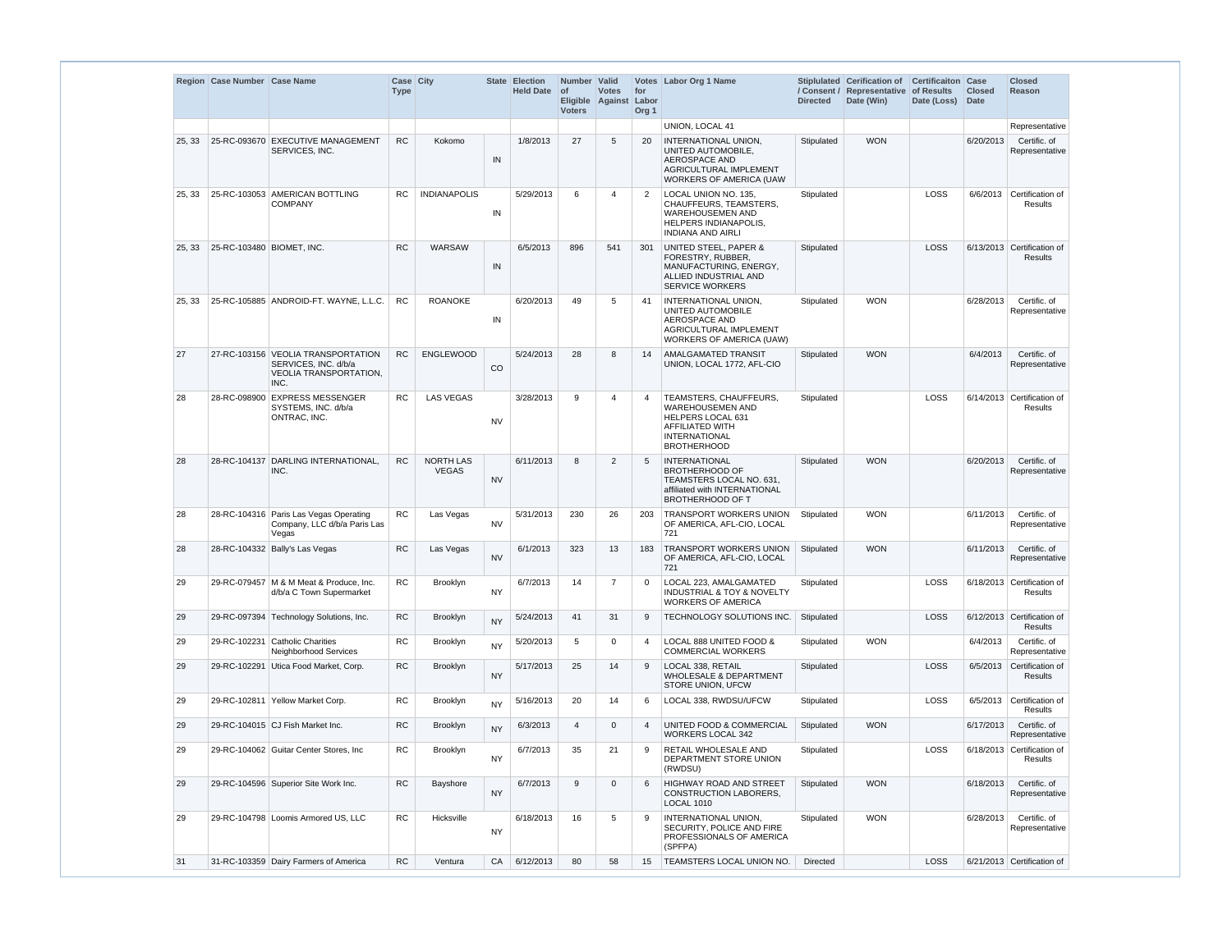|        | Region Case Number Case Name |                                                                                                     | Case City<br>Type |                           |           | State Election<br><b>Held Date</b> | Number Valid<br>$ $ of<br><b>Voters</b> | <b>Votes</b><br>Eligible Against Labor | for<br>Org <sub>1</sub> | Votes Labor Org 1 Name                                                                                                                                | <b>Directed</b> | Stiplulated Cerification of<br>/ Consent / Representative<br>Date (Win) | <b>Certificaiton Case</b><br>of Results<br>Date (Loss) Date | <b>Closed</b> | <b>Closed</b><br>Reason                      |
|--------|------------------------------|-----------------------------------------------------------------------------------------------------|-------------------|---------------------------|-----------|------------------------------------|-----------------------------------------|----------------------------------------|-------------------------|-------------------------------------------------------------------------------------------------------------------------------------------------------|-----------------|-------------------------------------------------------------------------|-------------------------------------------------------------|---------------|----------------------------------------------|
|        |                              |                                                                                                     |                   |                           |           |                                    |                                         |                                        |                         | UNION, LOCAL 41                                                                                                                                       |                 |                                                                         |                                                             |               | Representative                               |
| 25, 33 |                              | 25-RC-093670 EXECUTIVE MANAGEMENT<br>SERVICES, INC.                                                 | RC                | Kokomo                    | IN        | 1/8/2013                           | 27                                      | 5                                      | 20                      | <b>INTERNATIONAL UNION.</b><br>UNITED AUTOMOBILE,<br><b>AEROSPACE AND</b><br>AGRICULTURAL IMPLEMENT<br><b>WORKERS OF AMERICA (UAW</b>                 | Stipulated      | <b>WON</b>                                                              |                                                             | 6/20/2013     | Certific, of<br>Representative               |
| 25, 33 |                              | 25-RC-103053 AMERICAN BOTTLING<br><b>COMPANY</b>                                                    | <b>RC</b>         | <b>INDIANAPOLIS</b>       | IN        | 5/29/2013                          | 6                                       | 4                                      | $\overline{2}$          | LOCAL UNION NO. 135,<br>CHAUFFEURS, TEAMSTERS,<br><b>WAREHOUSEMEN AND</b><br>HELPERS INDIANAPOLIS,<br><b>INDIANA AND AIRLI</b>                        | Stipulated      |                                                                         | LOSS                                                        |               | 6/6/2013 Certification of<br><b>Results</b>  |
| 25, 33 | 25-RC-103480 BIOMET, INC.    |                                                                                                     | <b>RC</b>         | <b>WARSAW</b>             | IN        | 6/5/2013                           | 896                                     | 541                                    | 301                     | UNITED STEEL, PAPER &<br>FORESTRY, RUBBER,<br>MANUFACTURING, ENERGY,<br>ALLIED INDUSTRIAL AND<br><b>SERVICE WORKERS</b>                               | Stipulated      |                                                                         | LOSS                                                        |               | 6/13/2013 Certification of<br>Results        |
| 25, 33 |                              | 25-RC-105885 ANDROID-FT. WAYNE, L.L.C.                                                              | <b>RC</b>         | <b>ROANOKE</b>            | IN        | 6/20/2013                          | 49                                      | 5                                      | -41                     | INTERNATIONAL UNION,<br>UNITED AUTOMOBILE<br>AEROSPACE AND<br>AGRICULTURAL IMPLEMENT<br>WORKERS OF AMERICA (UAW)                                      | Stipulated      | <b>WON</b>                                                              |                                                             | 6/28/2013     | Certific. of<br>Representative               |
| 27     |                              | 27-RC-103156 VEOLIA TRANSPORTATION<br>SERVICES, INC. d/b/a<br><b>VEOLIA TRANSPORTATION,</b><br>INC. | <b>RC</b>         | <b>ENGLEWOOD</b>          | CO        | 5/24/2013                          | 28                                      | 8                                      | 14                      | AMALGAMATED TRANSIT<br>UNION, LOCAL 1772, AFL-CIO                                                                                                     | Stipulated      | <b>WON</b>                                                              |                                                             | 6/4/2013      | Certific. of<br>Representative               |
| 28     |                              | 28-RC-098900 EXPRESS MESSENGER<br>SYSTEMS, INC. d/b/a<br>ONTRAC, INC.                               | <b>RC</b>         | <b>LAS VEGAS</b>          | <b>NV</b> | 3/28/2013                          | 9                                       | 4                                      | $\overline{4}$          | TEAMSTERS, CHAUFFEURS,<br><b>WAREHOUSEMEN AND</b><br><b>HELPERS LOCAL 631</b><br><b>AFFILIATED WITH</b><br><b>INTERNATIONAL</b><br><b>BROTHERHOOD</b> | Stipulated      |                                                                         | LOSS                                                        |               | 6/14/2013 Certification of<br>Results        |
| 28     |                              | 28-RC-104137 DARLING INTERNATIONAL,<br>INC.                                                         | RC                | NORTH LAS<br><b>VEGAS</b> | <b>NV</b> | 6/11/2013                          | 8                                       | $\overline{2}$                         | $\overline{5}$          | <b>INTERNATIONAL</b><br><b>BROTHERHOOD OF</b><br>TEAMSTERS LOCAL NO. 631,<br>affiliated with INTERNATIONAL<br><b>BROTHERHOOD OF T</b>                 | Stipulated      | <b>WON</b>                                                              |                                                             | 6/20/2013     | Certific. of<br>Representative               |
| 28     |                              | 28-RC-104316 Paris Las Vegas Operating<br>Company, LLC d/b/a Paris Las<br>Vegas                     | RC                | Las Vegas                 | <b>NV</b> | 5/31/2013                          | 230                                     | 26                                     | 203                     | <b>TRANSPORT WORKERS UNION</b><br>OF AMERICA, AFL-CIO, LOCAL<br>721                                                                                   | Stipulated      | <b>WON</b>                                                              |                                                             | 6/11/2013     | Certific. of<br>Representative               |
| 28     |                              | 28-RC-104332   Bally's Las Vegas                                                                    | <b>RC</b>         | Las Vegas                 | <b>NV</b> | 6/1/2013                           | 323                                     | 13                                     | 183                     | <b>TRANSPORT WORKERS UNION</b><br>OF AMERICA, AFL-CIO, LOCAL<br>721                                                                                   | Stipulated      | <b>WON</b>                                                              |                                                             | 6/11/2013     | Certific. of<br>Representative               |
| 29     |                              | 29-RC-079457   M & M Meat & Produce, Inc.<br>d/b/a C Town Supermarket                               | <b>RC</b>         | Brooklyn                  | NY.       | 6/7/2013                           | 14                                      | $\overline{7}$                         | $\Omega$                | LOCAL 223, AMALGAMATED<br><b>INDUSTRIAL &amp; TOY &amp; NOVELTY</b><br><b>WORKERS OF AMERICA</b>                                                      | Stipulated      |                                                                         | LOSS                                                        |               | 6/18/2013 Certification of<br>Results        |
| 29     |                              | 29-RC-097394 Technology Solutions, Inc.                                                             | <b>RC</b>         | Brooklyn                  | <b>NY</b> | 5/24/2013                          | 41                                      | 31                                     | -9                      | TECHNOLOGY SOLUTIONS INC.                                                                                                                             | Stipulated      |                                                                         | LOSS                                                        |               | 6/12/2013 Certification of<br><b>Results</b> |
| 29     |                              | 29-RC-102231 Catholic Charities<br>Neighborhood Services                                            | <b>RC</b>         | Brooklyn                  | <b>NY</b> | 5/20/2013                          | 5                                       | $\mathbf 0$                            | 4                       | LOCAL 888 UNITED FOOD &<br><b>COMMERCIAL WORKERS</b>                                                                                                  | Stipulated      | <b>WON</b>                                                              |                                                             | 6/4/2013      | Certific. of<br>Representative               |
| 29     | 29-RC-102291                 | Utica Food Market, Corp.                                                                            | <b>RC</b>         | Brooklyn                  | <b>NY</b> | 5/17/2013                          | 25                                      | 14                                     | -9                      | LOCAL 338, RETAIL<br><b>WHOLESALE &amp; DEPARTMENT</b><br>STORE UNION, UFCW                                                                           | Stipulated      |                                                                         | LOSS                                                        | 6/5/2013      | Certification of<br><b>Results</b>           |
| 29     |                              | 29-RC-102811 Yellow Market Corp.                                                                    | <b>RC</b>         | Brooklyn                  | <b>NY</b> | 5/16/2013                          | 20                                      | 14                                     | 6                       | LOCAL 338, RWDSU/UFCW                                                                                                                                 | Stipulated      |                                                                         | LOSS                                                        | 6/5/2013      | Certification of<br><b>Results</b>           |
| 29     |                              | 29-RC-104015 CJ Fish Market Inc.                                                                    | <b>RC</b>         | Brooklyn                  | <b>NY</b> | 6/3/2013                           | $\overline{4}$                          | $\mathbf 0$                            | $\overline{4}$          | UNITED FOOD & COMMERCIAL<br><b>WORKERS LOCAL 342</b>                                                                                                  | Stipulated      | <b>WON</b>                                                              |                                                             | 6/17/2013     | Certific. of<br>Representative               |
| 29     |                              | 29-RC-104062 Guitar Center Stores, Inc.                                                             | <b>RC</b>         | Brooklyn                  | <b>NY</b> | 6/7/2013                           | 35                                      | 21                                     | -9                      | RETAIL WHOLESALE AND<br>DEPARTMENT STORE UNION<br>(RWDSU)                                                                                             | Stipulated      |                                                                         | LOSS                                                        |               | 6/18/2013 Certification of<br>Results        |
| 29     |                              | 29-RC-104596 Superior Site Work Inc.                                                                | <b>RC</b>         | Bayshore                  | <b>NY</b> | 6/7/2013                           | 9                                       | $\mathbf 0$                            | 6                       | <b>HIGHWAY ROAD AND STREET</b><br><b>CONSTRUCTION LABORERS,</b><br><b>LOCAL 1010</b>                                                                  | Stipulated      | <b>WON</b>                                                              |                                                             | 6/18/2013     | Certific. of<br>Representative               |
| 29     |                              | 29-RC-104798 Loomis Armored US, LLC                                                                 | <b>RC</b>         | Hicksville                | NY        | 6/18/2013                          | 16                                      | 5                                      | -9                      | INTERNATIONAL UNION,<br>SECURITY, POLICE AND FIRE<br>PROFESSIONALS OF AMERICA<br>(SPFPA)                                                              | Stipulated      | <b>WON</b>                                                              |                                                             | 6/28/2013     | Certific. of<br>Representative               |
| 31     |                              | 31-RC-103359 Dairy Farmers of America                                                               | ${\sf RC}$        | Ventura                   | CA        | 6/12/2013                          | 80                                      | 58                                     | 15                      | <b>TEAMSTERS LOCAL UNION NO.</b>                                                                                                                      | Directed        |                                                                         | LOSS                                                        |               | 6/21/2013 Certification of                   |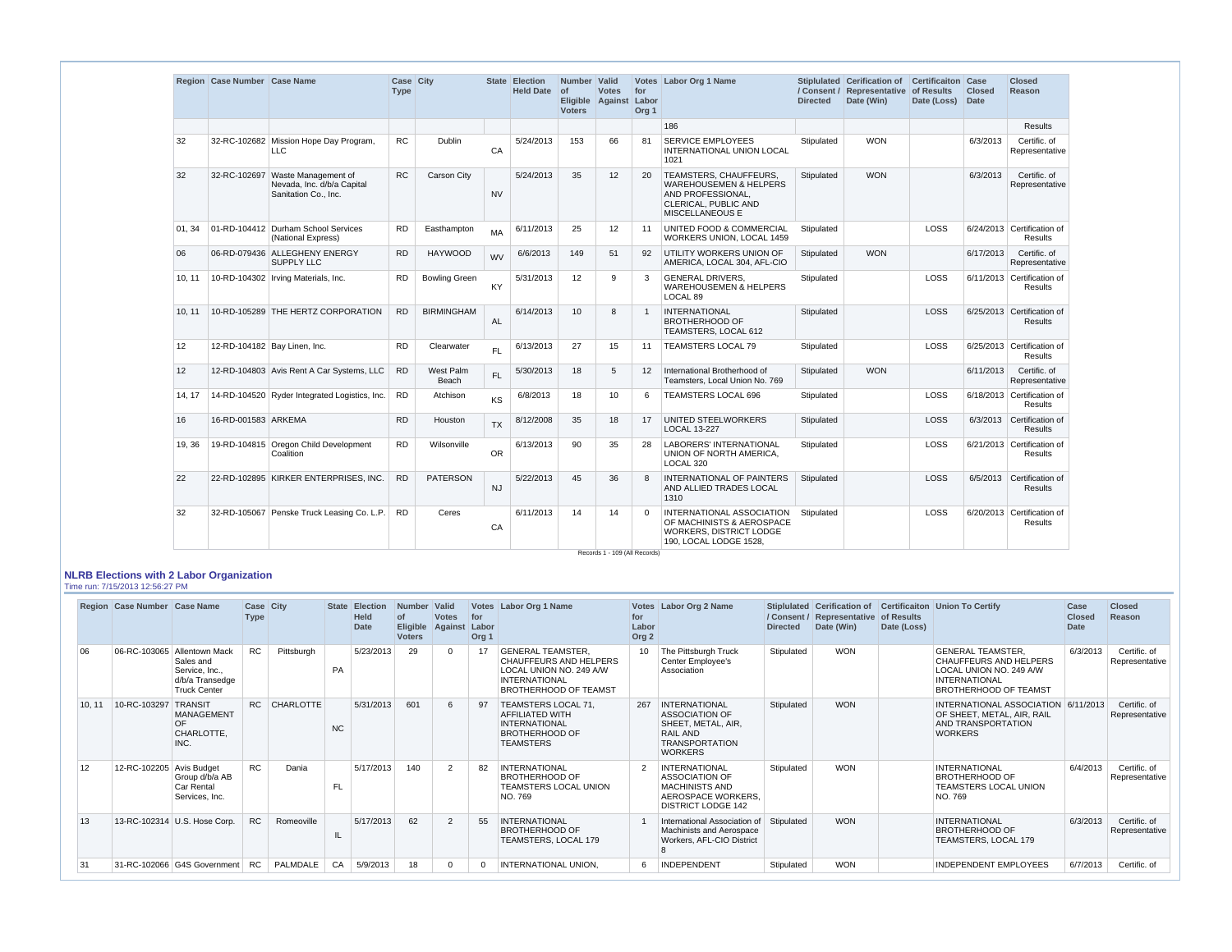|        | Region Case Number Case Name |                                                                                        | Case City<br><b>Type</b> |                           |           | State Election<br><b>Held Date</b> | Number Valid<br>$ $ of<br><b>Voters</b> | <b>Votes</b><br>Eligible Against Labor | for<br>Org <sub>1</sub> | Votes   Labor Org 1 Name                                                                                                    | <b>Directed</b> | Stiplulated Cerification of<br>/ Consent / Representative of Results<br>Date (Win) | <b>Certificaiton Case</b><br>Date (Loss) | <b>Closed</b><br>Date | <b>Closed</b><br>Reason                      |
|--------|------------------------------|----------------------------------------------------------------------------------------|--------------------------|---------------------------|-----------|------------------------------------|-----------------------------------------|----------------------------------------|-------------------------|-----------------------------------------------------------------------------------------------------------------------------|-----------------|------------------------------------------------------------------------------------|------------------------------------------|-----------------------|----------------------------------------------|
|        |                              |                                                                                        |                          |                           |           |                                    |                                         |                                        |                         | 186                                                                                                                         |                 |                                                                                    |                                          |                       | <b>Results</b>                               |
| 32     |                              | 32-RC-102682 Mission Hope Day Program,<br>LLC.                                         | <b>RC</b>                | Dublin                    | CA        | 5/24/2013                          | 153                                     | 66                                     | 81                      | <b>SERVICE EMPLOYEES</b><br><b>INTERNATIONAL UNION LOCAL</b><br>1021                                                        | Stipulated      | <b>WON</b>                                                                         |                                          | 6/3/2013              | Certific. of<br>Representative               |
| 32     |                              | 32-RC-102697 Waste Management of<br>Nevada, Inc. d/b/a Capital<br>Sanitation Co., Inc. | ${\sf RC}$               | Carson City               | <b>NV</b> | 5/24/2013                          | 35                                      | 12                                     | 20                      | TEAMSTERS, CHAUFFEURS,<br><b>WAREHOUSEMEN &amp; HELPERS</b><br>AND PROFESSIONAL,<br>CLERICAL, PUBLIC AND<br>MISCELLANEOUS E | Stipulated      | <b>WON</b>                                                                         |                                          | 6/3/2013              | Certific. of<br>Representative               |
| 01.34  |                              | 01-RD-104412 Durham School Services<br>(National Express)                              | <b>RD</b>                | Easthampton               | MA        | 6/11/2013                          | 25                                      | 12                                     | 11                      | UNITED FOOD & COMMERCIAL<br>WORKERS UNION, LOCAL 1459                                                                       | Stipulated      |                                                                                    | LOSS                                     |                       | 6/24/2013 Certification of<br><b>Results</b> |
| 06     |                              | 06-RD-079436 ALLEGHENY ENERGY<br><b>SUPPLY LLC</b>                                     | <b>RD</b>                | <b>HAYWOOD</b>            | <b>WV</b> | 6/6/2013                           | 149                                     | 51                                     | 92                      | UTILITY WORKERS UNION OF<br>AMERICA, LOCAL 304, AFL-CIO                                                                     | Stipulated      | <b>WON</b>                                                                         |                                          | 6/17/2013             | Certific. of<br>Representative               |
| 10, 11 |                              | 10-RD-104302 Irving Materials, Inc.                                                    | <b>RD</b>                | <b>Bowling Green</b>      | <b>KY</b> | 5/31/2013                          | 12                                      | 9                                      | 3                       | <b>GENERAL DRIVERS,</b><br><b>WAREHOUSEMEN &amp; HELPERS</b><br>LOCAL 89                                                    | Stipulated      |                                                                                    | LOSS                                     |                       | 6/11/2013 Certification of<br><b>Results</b> |
| 10.11  |                              | 10-RD-105289 THE HERTZ CORPORATION                                                     | <b>RD</b>                | <b>BIRMINGHAM</b>         | <b>AL</b> | 6/14/2013                          | 10 <sup>1</sup>                         | -8                                     | $\mathbf{1}$            | <b>INTERNATIONAL</b><br><b>BROTHERHOOD OF</b><br>TEAMSTERS, LOCAL 612                                                       | Stipulated      |                                                                                    | LOSS                                     |                       | 6/25/2013 Certification of<br><b>Results</b> |
| 12     |                              | 12-RD-104182 Bay Linen, Inc.                                                           | <b>RD</b>                | Clearwater                | FL        | 6/13/2013                          | 27                                      | 15                                     | 11                      | TEAMSTERS LOCAL 79                                                                                                          | Stipulated      |                                                                                    | LOSS                                     |                       | 6/25/2013 Certification of<br>Results        |
| 12     |                              | 12-RD-104803 Avis Rent A Car Systems, LLC                                              | <b>RD</b>                | <b>West Palm</b><br>Beach | <b>FL</b> | 5/30/2013                          | 18                                      | 5                                      | 12 <sup>2</sup>         | International Brotherhood of<br>Teamsters, Local Union No. 769                                                              | Stipulated      | <b>WON</b>                                                                         |                                          | 6/11/2013             | Certific, of<br>Representative               |
| 14, 17 |                              | 14-RD-104520 Ryder Integrated Logistics, Inc.                                          | <b>RD</b>                | Atchison                  | <b>KS</b> | 6/8/2013                           | 18                                      | 10                                     | 6                       | TEAMSTERS LOCAL 696                                                                                                         | Stipulated      |                                                                                    | LOSS                                     |                       | 6/18/2013 Certification of<br>Results        |
| 16     | 16-RD-001583 ARKEMA          |                                                                                        | <b>RD</b>                | Houston                   | <b>TX</b> | 8/12/2008                          | 35                                      | 18                                     | 17                      | UNITED STEELWORKERS<br>LOCAL 13-227                                                                                         | Stipulated      |                                                                                    | LOSS                                     |                       | 6/3/2013 Certification of<br><b>Results</b>  |
| 19.36  |                              | 19-RD-104815 Oregon Child Development<br>Coalition                                     | <b>RD</b>                | Wilsonville               | <b>OR</b> | 6/13/2013                          | 90                                      | 35                                     | 28                      | <b>LABORERS' INTERNATIONAL</b><br>UNION OF NORTH AMERICA,<br>LOCAL 320                                                      | Stipulated      |                                                                                    | LOSS                                     |                       | 6/21/2013 Certification of<br>Results        |
| 22     |                              | 22-RD-102895 KIRKER ENTERPRISES, INC.                                                  | <b>RD</b>                | <b>PATERSON</b>           | <b>NJ</b> | 5/22/2013                          | 45                                      | 36                                     | 8                       | INTERNATIONAL OF PAINTERS<br>AND ALLIED TRADES LOCAL<br>1310                                                                | Stipulated      |                                                                                    | <b>LOSS</b>                              |                       | 6/5/2013 Certification of<br><b>Results</b>  |
| 32     |                              | 32-RD-105067 Penske Truck Leasing Co. L.P.                                             | <b>RD</b>                | Ceres                     | CA        | 6/11/2013                          | 14                                      | 14                                     | $\Omega$                | INTERNATIONAL ASSOCIATION<br>OF MACHINISTS & AEROSPACE<br>WORKERS, DISTRICT LODGE<br>190, LOCAL LODGE 1528,                 | Stipulated      |                                                                                    | LOSS                                     |                       | 6/20/2013 Certification of<br>Results        |

#### **NLRB Elections with 2 Labor Organization** Time run: 7/15/2013 12:56:27 PM

|        | Region Case Number Case Name |                                                                                                      | Case City<br><b>Type</b> |              |           | State Election<br><b>Held</b><br><b>Date</b> | Number Valid<br>οf<br><b>Eligible</b><br><b>Voters</b> | <b>Votes</b><br>Against | for<br>Labor<br>Org <sub>1</sub> | Votes Labor Org 1 Name                                                                                                         | for<br>Labor<br>Org <sub>2</sub> | Votes Labor Org 2 Name                                                                                              | <b>Directed</b> | Stiplulated Cerification of<br>/ Consent / Representative of Results<br>Date (Win) | Date (Loss) | <b>Certificaiton Union To Certify</b>                                                                                                 | Case<br><b>Closed</b><br><b>Date</b> | <b>Closed</b><br>Reason        |
|--------|------------------------------|------------------------------------------------------------------------------------------------------|--------------------------|--------------|-----------|----------------------------------------------|--------------------------------------------------------|-------------------------|----------------------------------|--------------------------------------------------------------------------------------------------------------------------------|----------------------------------|---------------------------------------------------------------------------------------------------------------------|-----------------|------------------------------------------------------------------------------------|-------------|---------------------------------------------------------------------------------------------------------------------------------------|--------------------------------------|--------------------------------|
| 06     |                              | 06-RC-103065 Allentown Mack<br>Sales and<br>Service, Inc.,<br>d/b/a Transedge<br><b>Truck Center</b> | <b>RC</b>                | Pittsburgh   | PA        | 5/23/2013                                    | 29                                                     |                         | 17                               | <b>GENERAL TEAMSTER.</b><br>CHAUFFEURS AND HELPERS<br>LOCAL UNION NO. 249 A/W<br><b>INTERNATIONAL</b><br>BROTHERHOOD OF TEAMST | 10 <sup>1</sup>                  | The Pittsburgh Truck<br>Center Employee's<br>Association                                                            | Stipulated      | <b>WON</b>                                                                         |             | <b>GENERAL TEAMSTER,</b><br>CHAUFFEURS AND HELPERS<br>LOCAL UNION NO. 249 A/W<br><b>INTERNATIONAL</b><br><b>BROTHERHOOD OF TEAMST</b> | 6/3/2013                             | Certific. of<br>Representative |
| 10, 11 | 10-RC-103297 TRANSIT         | <b>MANAGEMENT</b><br>OF<br>CHARLOTTE.<br>INC.                                                        |                          | RC CHARLOTTE | <b>NC</b> | 5/31/2013                                    | 601                                                    | 6                       | 97                               | TEAMSTERS LOCAL 71,<br><b>AFFILIATED WITH</b><br><b>INTERNATIONAL</b><br><b>BROTHERHOOD OF</b><br><b>TEAMSTERS</b>             | 267                              | INTERNATIONAL<br><b>ASSOCIATION OF</b><br>SHEET, METAL, AIR,<br>RAIL AND<br><b>TRANSPORTATION</b><br><b>WORKERS</b> | Stipulated      | <b>WON</b>                                                                         |             | INTERNATIONAL ASSOCIATION 6/11/2013<br>OF SHEET, METAL, AIR, RAIL<br>AND TRANSPORTATION<br><b>WORKERS</b>                             |                                      | Certific, of<br>Representative |
| 12     | 12-RC-102205 Avis Budget     | Group d/b/a AB<br>Car Rental<br>Services, Inc.                                                       | <b>RC</b>                | Dania        | <b>FL</b> | 5/17/2013                                    | 140                                                    |                         | 82                               | <b>INTERNATIONAL</b><br><b>BROTHERHOOD OF</b><br><b>TEAMSTERS LOCAL UNION</b><br>NO. 769                                       |                                  | <b>INTERNATIONAL</b><br>ASSOCIATION OF<br><b>MACHINISTS AND</b><br>AEROSPACE WORKERS.<br><b>DISTRICT LODGE 142</b>  | Stipulated      | <b>WON</b>                                                                         |             | <b>INTERNATIONAL</b><br><b>BROTHERHOOD OF</b><br><b>TEAMSTERS LOCAL UNION</b><br>NO. 769                                              | 6/4/2013                             | Certific. of<br>Representative |
| 13     |                              | 13-RC-102314 U.S. Hose Corp.                                                                         | RC                       | Romeoville   |           | 5/17/2013                                    | 62                                                     |                         | 55                               | <b>INTERNATIONAL</b><br><b>BROTHERHOOD OF</b><br>TEAMSTERS, LOCAL 179                                                          |                                  | International Association of<br>Machinists and Aerospace<br>Workers, AFL-CIO District<br>8                          | Stipulated      | <b>WON</b>                                                                         |             | <b>INTERNATIONAL</b><br><b>BROTHERHOOD OF</b><br>TEAMSTERS, LOCAL 179                                                                 | 6/3/2013                             | Certific. of<br>Representative |
| 31     |                              | 31-RC-102066 G4S Government                                                                          | <b>RC</b>                | PALMDALE     | CA        | 5/9/2013                                     | 18                                                     |                         | $\Omega$                         | INTERNATIONAL UNION.                                                                                                           | 6.                               | INDEPENDENT                                                                                                         | Stipulated      | <b>WON</b>                                                                         |             | <b>INDEPENDENT EMPLOYEES</b>                                                                                                          | 6/7/2013                             | Certific. of                   |